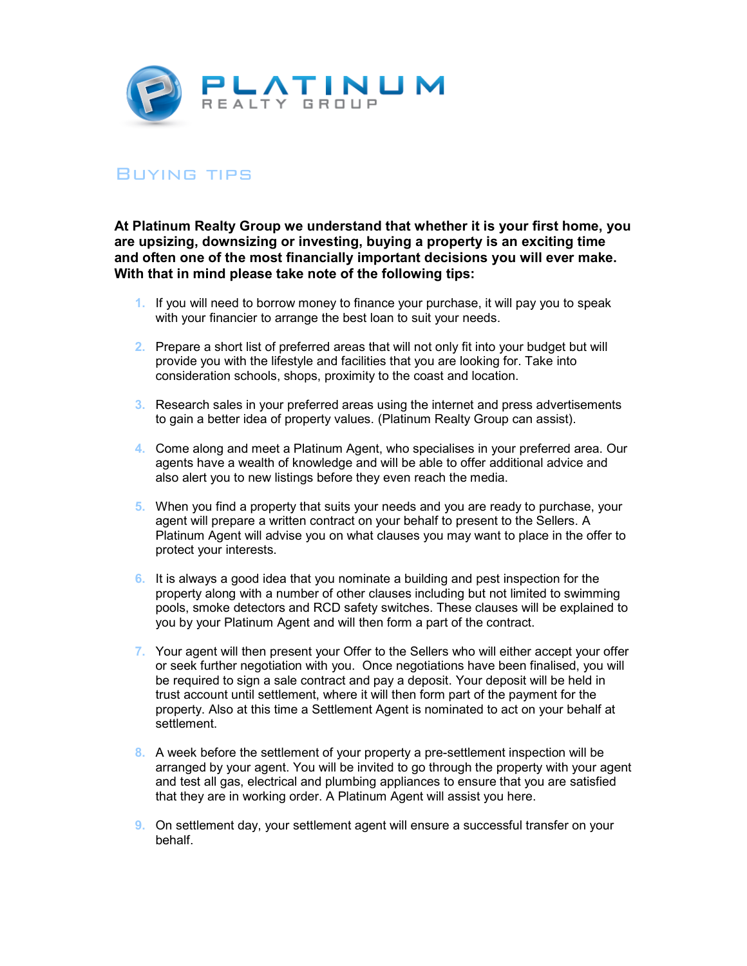

## Buying tips

**At Platinum Realty Group we understand that whether it is your first home, you are upsizing, downsizing or investing, buying a property is an exciting time and often one of the most financially important decisions you will ever make. With that in mind please take note of the following tips:** 

- **1.** If you will need to borrow money to finance your purchase, it will pay you to speak with your financier to arrange the best loan to suit your needs.
- **2.** Prepare a short list of preferred areas that will not only fit into your budget but will provide you with the lifestyle and facilities that you are looking for. Take into consideration schools, shops, proximity to the coast and location.
- **3.** Research sales in your preferred areas using the internet and press advertisements to gain a better idea of property values. (Platinum Realty Group can assist).
- **4.** Come along and meet a Platinum Agent, who specialises in your preferred area. Our agents have a wealth of knowledge and will be able to offer additional advice and also alert you to new listings before they even reach the media.
- **5.** When you find a property that suits your needs and you are ready to purchase, your agent will prepare a written contract on your behalf to present to the Sellers. A Platinum Agent will advise you on what clauses you may want to place in the offer to protect your interests.
- **6.** It is always a good idea that you nominate a building and pest inspection for the property along with a number of other clauses including but not limited to swimming pools, smoke detectors and RCD safety switches. These clauses will be explained to you by your Platinum Agent and will then form a part of the contract.
- **7.** Your agent will then present your Offer to the Sellers who will either accept your offer or seek further negotiation with you. Once negotiations have been finalised, you will be required to sign a sale contract and pay a deposit. Your deposit will be held in trust account until settlement, where it will then form part of the payment for the property. Also at this time a Settlement Agent is nominated to act on your behalf at settlement.
- **8.** A week before the settlement of your property a pre-settlement inspection will be arranged by your agent. You will be invited to go through the property with your agent and test all gas, electrical and plumbing appliances to ensure that you are satisfied that they are in working order. A Platinum Agent will assist you here.
- **9.** On settlement day, your settlement agent will ensure a successful transfer on your behalf.